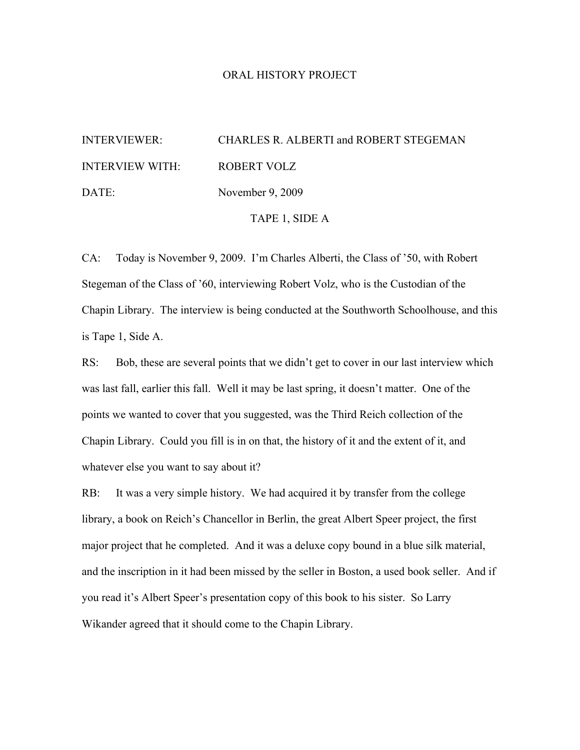#### ORAL HISTORY PROJECT

# INTERVIEWER: CHARLES R. ALBERTI and ROBERT STEGEMAN INTERVIEW WITH: ROBERT VOLZ DATE: November 9, 2009

TAPE 1, SIDE A

CA: Today is November 9, 2009. I'm Charles Alberti, the Class of '50, with Robert Stegeman of the Class of '60, interviewing Robert Volz, who is the Custodian of the Chapin Library. The interview is being conducted at the Southworth Schoolhouse, and this is Tape 1, Side A.

RS: Bob, these are several points that we didn't get to cover in our last interview which was last fall, earlier this fall. Well it may be last spring, it doesn't matter. One of the points we wanted to cover that you suggested, was the Third Reich collection of the Chapin Library. Could you fill is in on that, the history of it and the extent of it, and whatever else you want to say about it?

RB: It was a very simple history. We had acquired it by transfer from the college library, a book on Reich's Chancellor in Berlin, the great Albert Speer project, the first major project that he completed. And it was a deluxe copy bound in a blue silk material, and the inscription in it had been missed by the seller in Boston, a used book seller. And if you read it's Albert Speer's presentation copy of this book to his sister. So Larry Wikander agreed that it should come to the Chapin Library.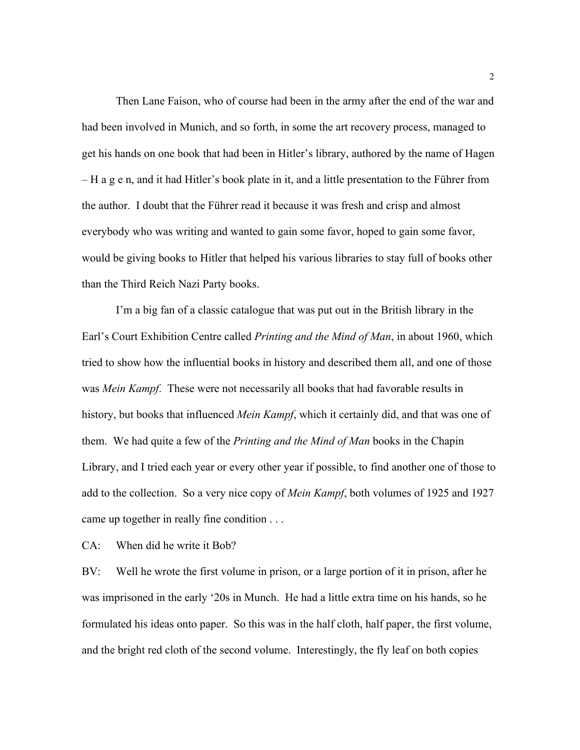Then Lane Faison, who of course had been in the army after the end of the war and had been involved in Munich, and so forth, in some the art recovery process, managed to get his hands on one book that had been in Hitler's library, authored by the name of Hagen – H a g e n, and it had Hitler's book plate in it, and a little presentation to the Führer from the author. I doubt that the Führer read it because it was fresh and crisp and almost everybody who was writing and wanted to gain some favor, hoped to gain some favor, would be giving books to Hitler that helped his various libraries to stay full of books other than the Third Reich Nazi Party books.

I'm a big fan of a classic catalogue that was put out in the British library in the Earl's Court Exhibition Centre called *Printing and the Mind of Man*, in about 1960, which tried to show how the influential books in history and described them all, and one of those was *Mein Kampf*. These were not necessarily all books that had favorable results in history, but books that influenced *Mein Kampf*, which it certainly did, and that was one of them. We had quite a few of the *Printing and the Mind of Man* books in the Chapin Library, and I tried each year or every other year if possible, to find another one of those to add to the collection. So a very nice copy of *Mein Kampf*, both volumes of 1925 and 1927 came up together in really fine condition . . .

CA: When did he write it Bob?

BV: Well he wrote the first volume in prison, or a large portion of it in prison, after he was imprisoned in the early '20s in Munch. He had a little extra time on his hands, so he formulated his ideas onto paper. So this was in the half cloth, half paper, the first volume, and the bright red cloth of the second volume. Interestingly, the fly leaf on both copies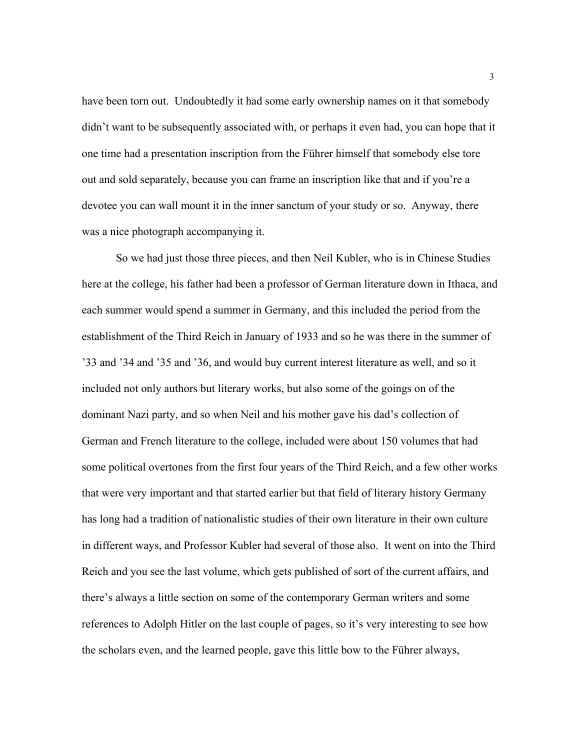have been torn out. Undoubtedly it had some early ownership names on it that somebody didn't want to be subsequently associated with, or perhaps it even had, you can hope that it one time had a presentation inscription from the Führer himself that somebody else tore out and sold separately, because you can frame an inscription like that and if you're a devotee you can wall mount it in the inner sanctum of your study or so. Anyway, there was a nice photograph accompanying it.

So we had just those three pieces, and then Neil Kubler, who is in Chinese Studies here at the college, his father had been a professor of German literature down in Ithaca, and each summer would spend a summer in Germany, and this included the period from the establishment of the Third Reich in January of 1933 and so he was there in the summer of '33 and '34 and '35 and '36, and would buy current interest literature as well, and so it included not only authors but literary works, but also some of the goings on of the dominant Nazi party, and so when Neil and his mother gave his dad's collection of German and French literature to the college, included were about 150 volumes that had some political overtones from the first four years of the Third Reich, and a few other works that were very important and that started earlier but that field of literary history Germany has long had a tradition of nationalistic studies of their own literature in their own culture in different ways, and Professor Kubler had several of those also. It went on into the Third Reich and you see the last volume, which gets published of sort of the current affairs, and there's always a little section on some of the contemporary German writers and some references to Adolph Hitler on the last couple of pages, so it's very interesting to see how the scholars even, and the learned people, gave this little bow to the Führer always,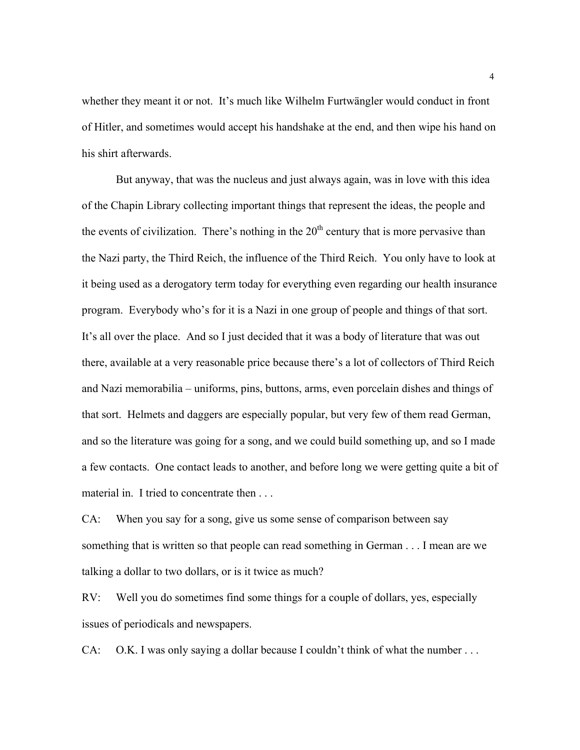whether they meant it or not. It's much like Wilhelm Furtwängler would conduct in front of Hitler, and sometimes would accept his handshake at the end, and then wipe his hand on his shirt afterwards.

But anyway, that was the nucleus and just always again, was in love with this idea of the Chapin Library collecting important things that represent the ideas, the people and the events of civilization. There's nothing in the  $20<sup>th</sup>$  century that is more pervasive than the Nazi party, the Third Reich, the influence of the Third Reich. You only have to look at it being used as a derogatory term today for everything even regarding our health insurance program. Everybody who's for it is a Nazi in one group of people and things of that sort. It's all over the place. And so I just decided that it was a body of literature that was out there, available at a very reasonable price because there's a lot of collectors of Third Reich and Nazi memorabilia – uniforms, pins, buttons, arms, even porcelain dishes and things of that sort. Helmets and daggers are especially popular, but very few of them read German, and so the literature was going for a song, and we could build something up, and so I made a few contacts. One contact leads to another, and before long we were getting quite a bit of material in. I tried to concentrate then . . .

CA: When you say for a song, give us some sense of comparison between say something that is written so that people can read something in German . . . I mean are we talking a dollar to two dollars, or is it twice as much?

RV: Well you do sometimes find some things for a couple of dollars, yes, especially issues of periodicals and newspapers.

CA: O.K. I was only saying a dollar because I couldn't think of what the number . . .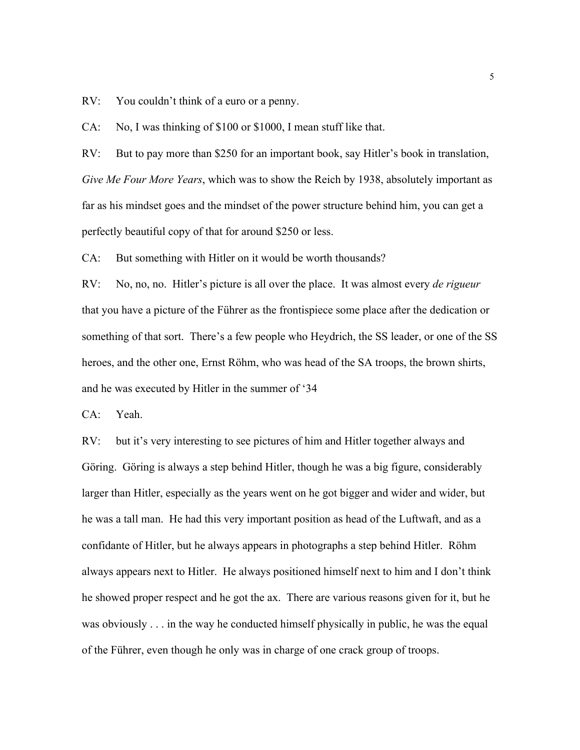RV: You couldn't think of a euro or a penny.

CA: No, I was thinking of \$100 or \$1000, I mean stuff like that.

RV: But to pay more than \$250 for an important book, say Hitler's book in translation, *Give Me Four More Years*, which was to show the Reich by 1938, absolutely important as far as his mindset goes and the mindset of the power structure behind him, you can get a perfectly beautiful copy of that for around \$250 or less.

CA: But something with Hitler on it would be worth thousands?

RV: No, no, no. Hitler's picture is all over the place. It was almost every *de rigueur*  that you have a picture of the Führer as the frontispiece some place after the dedication or something of that sort. There's a few people who Heydrich, the SS leader, or one of the SS heroes, and the other one, Ernst Röhm, who was head of the SA troops, the brown shirts, and he was executed by Hitler in the summer of '34

CA: Yeah.

RV: but it's very interesting to see pictures of him and Hitler together always and Göring. Göring is always a step behind Hitler, though he was a big figure, considerably larger than Hitler, especially as the years went on he got bigger and wider and wider, but he was a tall man. He had this very important position as head of the Luftwaft, and as a confidante of Hitler, but he always appears in photographs a step behind Hitler. Röhm always appears next to Hitler. He always positioned himself next to him and I don't think he showed proper respect and he got the ax. There are various reasons given for it, but he was obviously . . . in the way he conducted himself physically in public, he was the equal of the Führer, even though he only was in charge of one crack group of troops.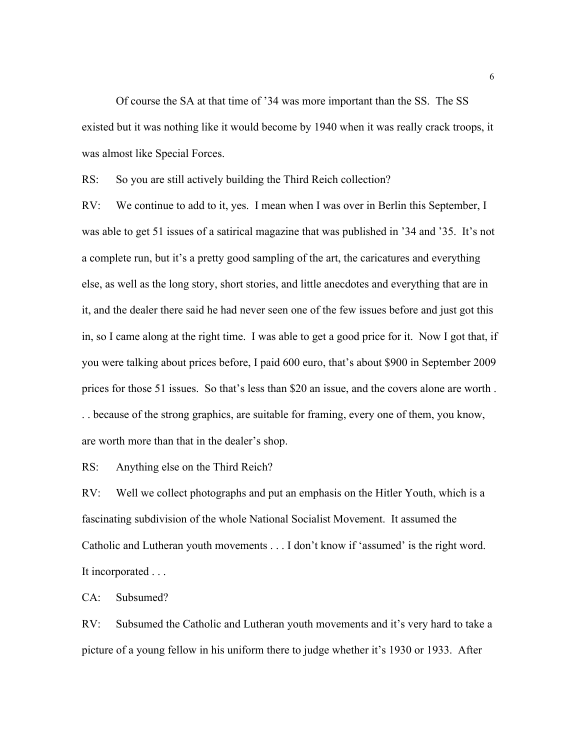Of course the SA at that time of '34 was more important than the SS. The SS existed but it was nothing like it would become by 1940 when it was really crack troops, it was almost like Special Forces.

RS: So you are still actively building the Third Reich collection?

RV: We continue to add to it, yes. I mean when I was over in Berlin this September, I was able to get 51 issues of a satirical magazine that was published in '34 and '35. It's not a complete run, but it's a pretty good sampling of the art, the caricatures and everything else, as well as the long story, short stories, and little anecdotes and everything that are in it, and the dealer there said he had never seen one of the few issues before and just got this in, so I came along at the right time. I was able to get a good price for it. Now I got that, if you were talking about prices before, I paid 600 euro, that's about \$900 in September 2009 prices for those 51 issues. So that's less than \$20 an issue, and the covers alone are worth . . . because of the strong graphics, are suitable for framing, every one of them, you know, are worth more than that in the dealer's shop.

RS: Anything else on the Third Reich?

RV: Well we collect photographs and put an emphasis on the Hitler Youth, which is a fascinating subdivision of the whole National Socialist Movement. It assumed the Catholic and Lutheran youth movements . . . I don't know if 'assumed' is the right word. It incorporated . . .

CA: Subsumed?

RV: Subsumed the Catholic and Lutheran youth movements and it's very hard to take a picture of a young fellow in his uniform there to judge whether it's 1930 or 1933. After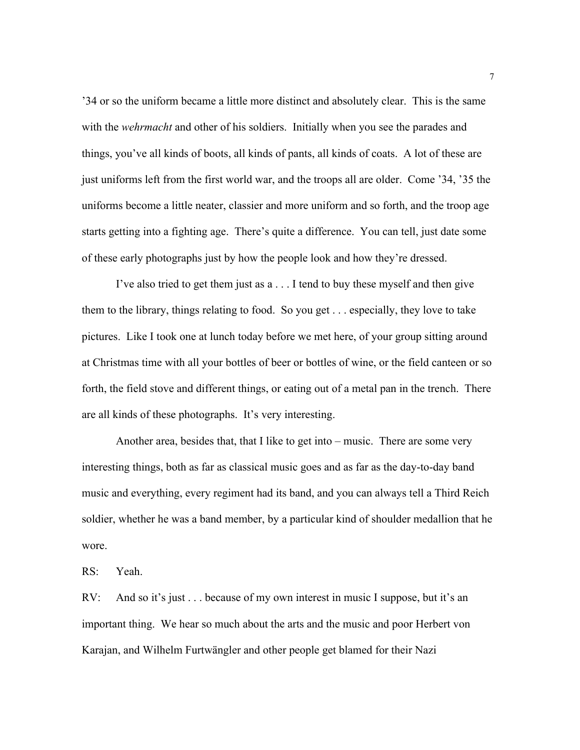'34 or so the uniform became a little more distinct and absolutely clear. This is the same with the *wehrmacht* and other of his soldiers. Initially when you see the parades and things, you've all kinds of boots, all kinds of pants, all kinds of coats. A lot of these are just uniforms left from the first world war, and the troops all are older. Come '34, '35 the uniforms become a little neater, classier and more uniform and so forth, and the troop age starts getting into a fighting age. There's quite a difference. You can tell, just date some of these early photographs just by how the people look and how they're dressed.

I've also tried to get them just as a . . . I tend to buy these myself and then give them to the library, things relating to food. So you get . . . especially, they love to take pictures. Like I took one at lunch today before we met here, of your group sitting around at Christmas time with all your bottles of beer or bottles of wine, or the field canteen or so forth, the field stove and different things, or eating out of a metal pan in the trench. There are all kinds of these photographs. It's very interesting.

Another area, besides that, that I like to get into – music. There are some very interesting things, both as far as classical music goes and as far as the day-to-day band music and everything, every regiment had its band, and you can always tell a Third Reich soldier, whether he was a band member, by a particular kind of shoulder medallion that he wore.

RS: Yeah.

RV: And so it's just . . . because of my own interest in music I suppose, but it's an important thing. We hear so much about the arts and the music and poor Herbert von Karajan, and Wilhelm Furtwängler and other people get blamed for their Nazi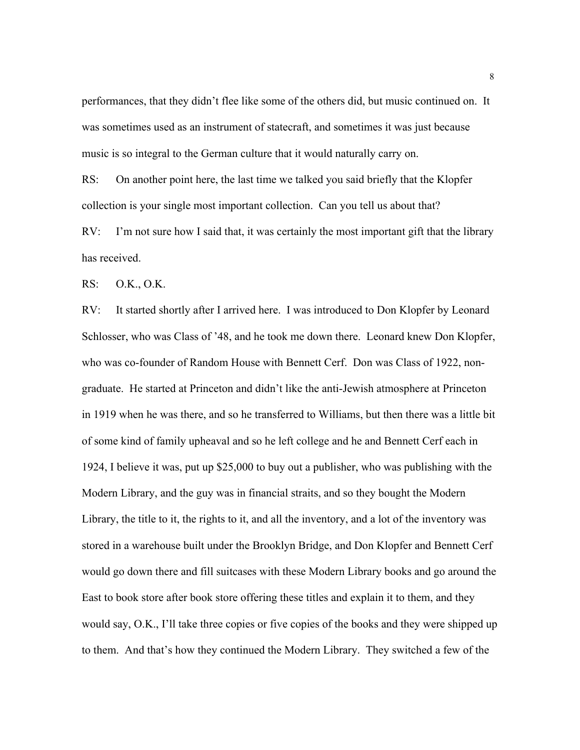performances, that they didn't flee like some of the others did, but music continued on. It was sometimes used as an instrument of statecraft, and sometimes it was just because music is so integral to the German culture that it would naturally carry on.

RS: On another point here, the last time we talked you said briefly that the Klopfer collection is your single most important collection. Can you tell us about that?

RV: I'm not sure how I said that, it was certainly the most important gift that the library has received.

RS: O.K., O.K.

RV: It started shortly after I arrived here. I was introduced to Don Klopfer by Leonard Schlosser, who was Class of '48, and he took me down there. Leonard knew Don Klopfer, who was co-founder of Random House with Bennett Cerf. Don was Class of 1922, nongraduate. He started at Princeton and didn't like the anti-Jewish atmosphere at Princeton in 1919 when he was there, and so he transferred to Williams, but then there was a little bit of some kind of family upheaval and so he left college and he and Bennett Cerf each in 1924, I believe it was, put up \$25,000 to buy out a publisher, who was publishing with the Modern Library, and the guy was in financial straits, and so they bought the Modern Library, the title to it, the rights to it, and all the inventory, and a lot of the inventory was stored in a warehouse built under the Brooklyn Bridge, and Don Klopfer and Bennett Cerf would go down there and fill suitcases with these Modern Library books and go around the East to book store after book store offering these titles and explain it to them, and they would say, O.K., I'll take three copies or five copies of the books and they were shipped up to them. And that's how they continued the Modern Library. They switched a few of the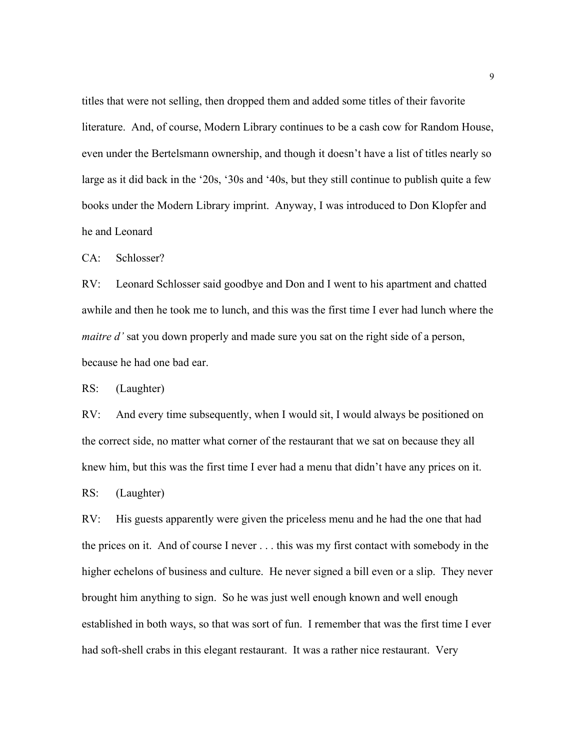titles that were not selling, then dropped them and added some titles of their favorite literature. And, of course, Modern Library continues to be a cash cow for Random House, even under the Bertelsmann ownership, and though it doesn't have a list of titles nearly so large as it did back in the '20s, '30s and '40s, but they still continue to publish quite a few books under the Modern Library imprint. Anyway, I was introduced to Don Klopfer and he and Leonard

CA: Schlosser?

RV: Leonard Schlosser said goodbye and Don and I went to his apartment and chatted awhile and then he took me to lunch, and this was the first time I ever had lunch where the *maitre d'* sat you down properly and made sure you sat on the right side of a person, because he had one bad ear.

RS: (Laughter)

RV: And every time subsequently, when I would sit, I would always be positioned on the correct side, no matter what corner of the restaurant that we sat on because they all knew him, but this was the first time I ever had a menu that didn't have any prices on it.

RS: (Laughter)

RV: His guests apparently were given the priceless menu and he had the one that had the prices on it. And of course I never . . . this was my first contact with somebody in the higher echelons of business and culture. He never signed a bill even or a slip. They never brought him anything to sign. So he was just well enough known and well enough established in both ways, so that was sort of fun. I remember that was the first time I ever had soft-shell crabs in this elegant restaurant. It was a rather nice restaurant. Very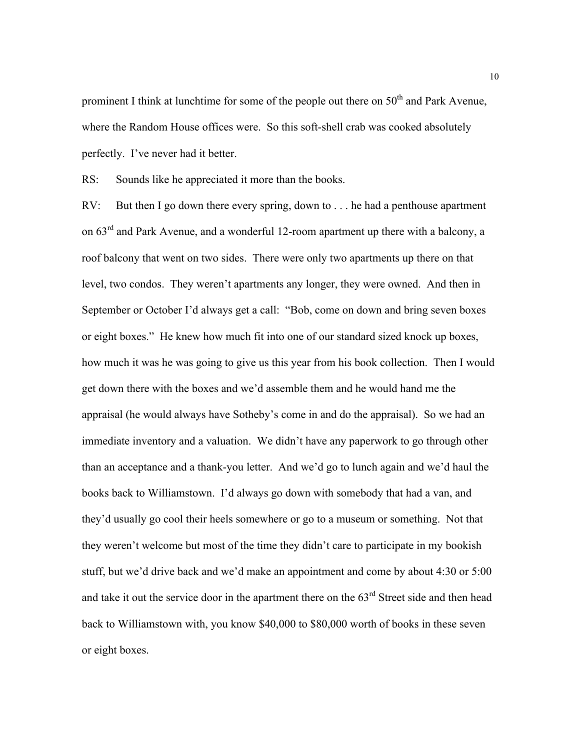prominent I think at lunchtime for some of the people out there on  $50<sup>th</sup>$  and Park Avenue, where the Random House offices were. So this soft-shell crab was cooked absolutely perfectly. I've never had it better.

RS: Sounds like he appreciated it more than the books.

RV: But then I go down there every spring, down to . . . he had a penthouse apartment on  $63<sup>rd</sup>$  and Park Avenue, and a wonderful 12-room apartment up there with a balcony, a roof balcony that went on two sides. There were only two apartments up there on that level, two condos. They weren't apartments any longer, they were owned. And then in September or October I'd always get a call: "Bob, come on down and bring seven boxes or eight boxes." He knew how much fit into one of our standard sized knock up boxes, how much it was he was going to give us this year from his book collection. Then I would get down there with the boxes and we'd assemble them and he would hand me the appraisal (he would always have Sotheby's come in and do the appraisal). So we had an immediate inventory and a valuation. We didn't have any paperwork to go through other than an acceptance and a thank-you letter. And we'd go to lunch again and we'd haul the books back to Williamstown. I'd always go down with somebody that had a van, and they'd usually go cool their heels somewhere or go to a museum or something. Not that they weren't welcome but most of the time they didn't care to participate in my bookish stuff, but we'd drive back and we'd make an appointment and come by about 4:30 or 5:00 and take it out the service door in the apartment there on the 63<sup>rd</sup> Street side and then head back to Williamstown with, you know \$40,000 to \$80,000 worth of books in these seven or eight boxes.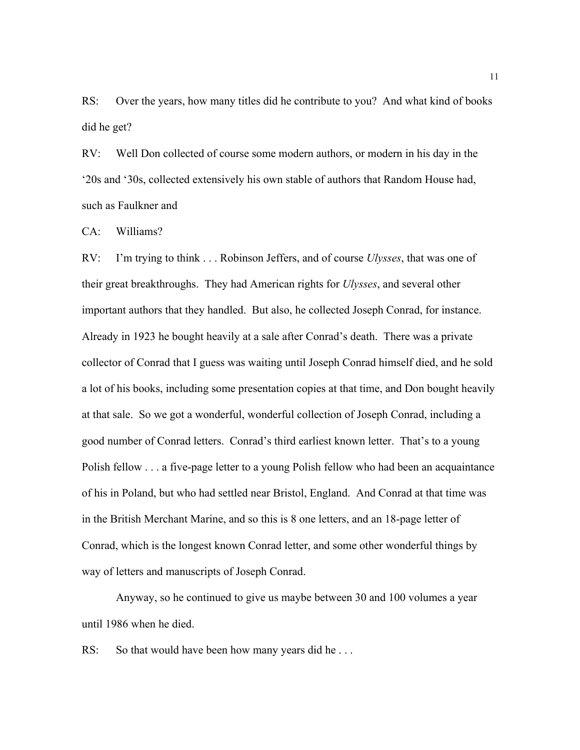RS: Over the years, how many titles did he contribute to you? And what kind of books did he get?

RV: Well Don collected of course some modern authors, or modern in his day in the '20s and '30s, collected extensively his own stable of authors that Random House had, such as Faulkner and

CA: Williams?

RV: I'm trying to think . . . Robinson Jeffers, and of course *Ulysses*, that was one of their great breakthroughs. They had American rights for *Ulysses*, and several other important authors that they handled. But also, he collected Joseph Conrad, for instance. Already in 1923 he bought heavily at a sale after Conrad's death. There was a private collector of Conrad that I guess was waiting until Joseph Conrad himself died, and he sold a lot of his books, including some presentation copies at that time, and Don bought heavily at that sale. So we got a wonderful, wonderful collection of Joseph Conrad, including a good number of Conrad letters. Conrad's third earliest known letter. That's to a young Polish fellow . . . a five-page letter to a young Polish fellow who had been an acquaintance of his in Poland, but who had settled near Bristol, England. And Conrad at that time was in the British Merchant Marine, and so this is 8 one letters, and an 18-page letter of Conrad, which is the longest known Conrad letter, and some other wonderful things by way of letters and manuscripts of Joseph Conrad.

Anyway, so he continued to give us maybe between 30 and 100 volumes a year until 1986 when he died.

RS: So that would have been how many years did he...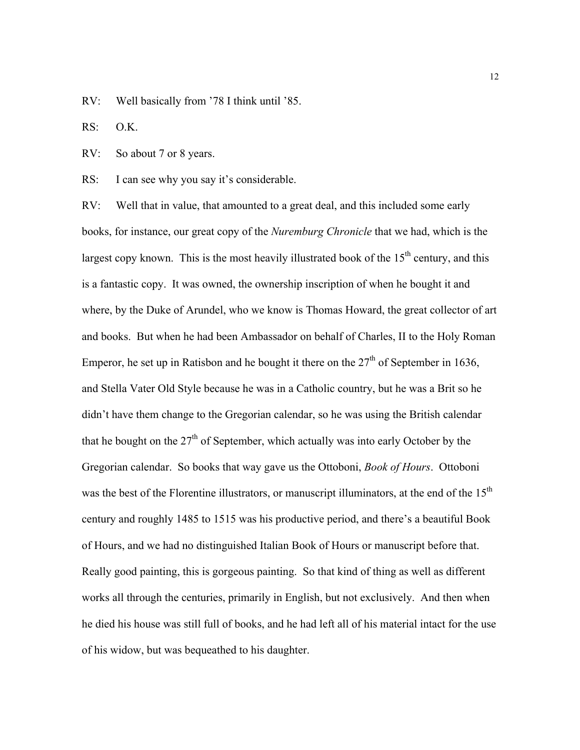RV: Well basically from '78 I think until '85.

RS: O.K.

RV: So about 7 or 8 years.

RS: I can see why you say it's considerable.

RV: Well that in value, that amounted to a great deal, and this included some early books, for instance, our great copy of the *Nuremburg Chronicle* that we had, which is the largest copy known. This is the most heavily illustrated book of the  $15<sup>th</sup>$  century, and this is a fantastic copy. It was owned, the ownership inscription of when he bought it and where, by the Duke of Arundel, who we know is Thomas Howard, the great collector of art and books. But when he had been Ambassador on behalf of Charles, II to the Holy Roman Emperor, he set up in Ratisbon and he bought it there on the  $27<sup>th</sup>$  of September in 1636, and Stella Vater Old Style because he was in a Catholic country, but he was a Brit so he didn't have them change to the Gregorian calendar, so he was using the British calendar that he bought on the  $27<sup>th</sup>$  of September, which actually was into early October by the Gregorian calendar. So books that way gave us the Ottoboni, *Book of Hours*. Ottoboni was the best of the Florentine illustrators, or manuscript illuminators, at the end of the 15<sup>th</sup> century and roughly 1485 to 1515 was his productive period, and there's a beautiful Book of Hours, and we had no distinguished Italian Book of Hours or manuscript before that. Really good painting, this is gorgeous painting. So that kind of thing as well as different works all through the centuries, primarily in English, but not exclusively. And then when he died his house was still full of books, and he had left all of his material intact for the use of his widow, but was bequeathed to his daughter.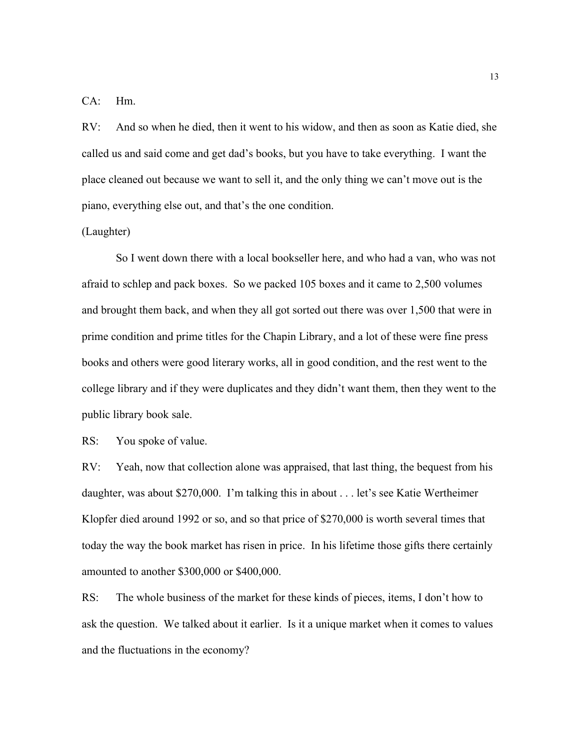CA: Hm.

RV: And so when he died, then it went to his widow, and then as soon as Katie died, she called us and said come and get dad's books, but you have to take everything. I want the place cleaned out because we want to sell it, and the only thing we can't move out is the piano, everything else out, and that's the one condition.

(Laughter)

So I went down there with a local bookseller here, and who had a van, who was not afraid to schlep and pack boxes. So we packed 105 boxes and it came to 2,500 volumes and brought them back, and when they all got sorted out there was over 1,500 that were in prime condition and prime titles for the Chapin Library, and a lot of these were fine press books and others were good literary works, all in good condition, and the rest went to the college library and if they were duplicates and they didn't want them, then they went to the public library book sale.

RS: You spoke of value.

RV: Yeah, now that collection alone was appraised, that last thing, the bequest from his daughter, was about \$270,000. I'm talking this in about . . . let's see Katie Wertheimer Klopfer died around 1992 or so, and so that price of \$270,000 is worth several times that today the way the book market has risen in price. In his lifetime those gifts there certainly amounted to another \$300,000 or \$400,000.

RS: The whole business of the market for these kinds of pieces, items, I don't how to ask the question. We talked about it earlier. Is it a unique market when it comes to values and the fluctuations in the economy?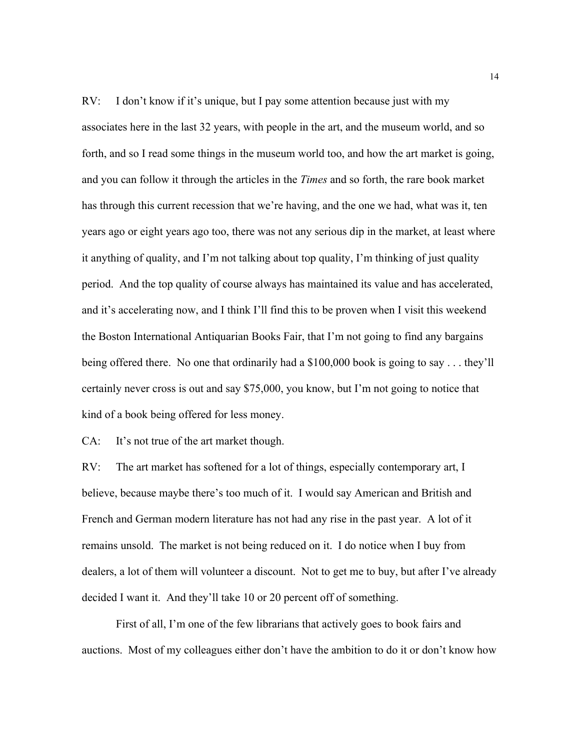RV: I don't know if it's unique, but I pay some attention because just with my associates here in the last 32 years, with people in the art, and the museum world, and so forth, and so I read some things in the museum world too, and how the art market is going, and you can follow it through the articles in the *Times* and so forth, the rare book market has through this current recession that we're having, and the one we had, what was it, ten years ago or eight years ago too, there was not any serious dip in the market, at least where it anything of quality, and I'm not talking about top quality, I'm thinking of just quality period. And the top quality of course always has maintained its value and has accelerated, and it's accelerating now, and I think I'll find this to be proven when I visit this weekend the Boston International Antiquarian Books Fair, that I'm not going to find any bargains being offered there. No one that ordinarily had a \$100,000 book is going to say . . . they'll certainly never cross is out and say \$75,000, you know, but I'm not going to notice that kind of a book being offered for less money.

CA: It's not true of the art market though.

RV: The art market has softened for a lot of things, especially contemporary art, I believe, because maybe there's too much of it. I would say American and British and French and German modern literature has not had any rise in the past year. A lot of it remains unsold. The market is not being reduced on it. I do notice when I buy from dealers, a lot of them will volunteer a discount. Not to get me to buy, but after I've already decided I want it. And they'll take 10 or 20 percent off of something.

First of all, I'm one of the few librarians that actively goes to book fairs and auctions. Most of my colleagues either don't have the ambition to do it or don't know how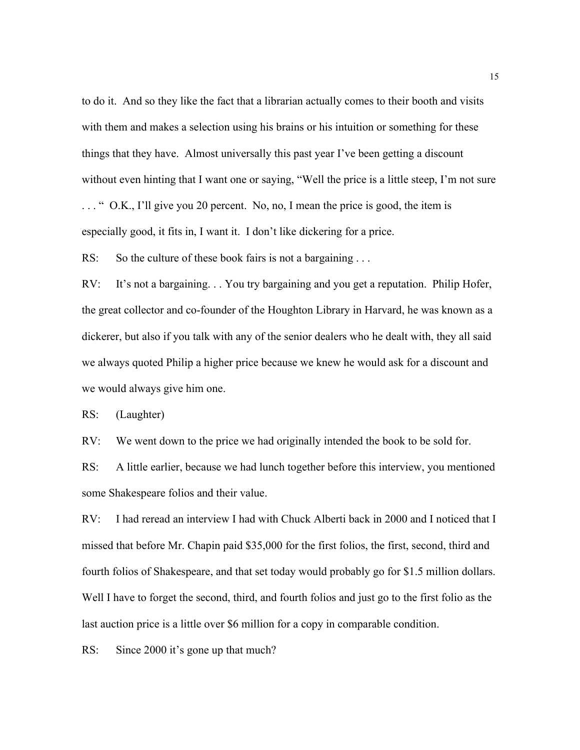to do it. And so they like the fact that a librarian actually comes to their booth and visits with them and makes a selection using his brains or his intuition or something for these things that they have. Almost universally this past year I've been getting a discount without even hinting that I want one or saying, "Well the price is a little steep, I'm not sure . . . " O.K., I'll give you 20 percent. No, no, I mean the price is good, the item is especially good, it fits in, I want it. I don't like dickering for a price.

RS: So the culture of these book fairs is not a bargaining ...

RV: It's not a bargaining. . . You try bargaining and you get a reputation. Philip Hofer, the great collector and co-founder of the Houghton Library in Harvard, he was known as a dickerer, but also if you talk with any of the senior dealers who he dealt with, they all said we always quoted Philip a higher price because we knew he would ask for a discount and we would always give him one.

RS: (Laughter)

RV: We went down to the price we had originally intended the book to be sold for.

RS: A little earlier, because we had lunch together before this interview, you mentioned some Shakespeare folios and their value.

RV: I had reread an interview I had with Chuck Alberti back in 2000 and I noticed that I missed that before Mr. Chapin paid \$35,000 for the first folios, the first, second, third and fourth folios of Shakespeare, and that set today would probably go for \$1.5 million dollars. Well I have to forget the second, third, and fourth folios and just go to the first folio as the last auction price is a little over \$6 million for a copy in comparable condition.

RS: Since 2000 it's gone up that much?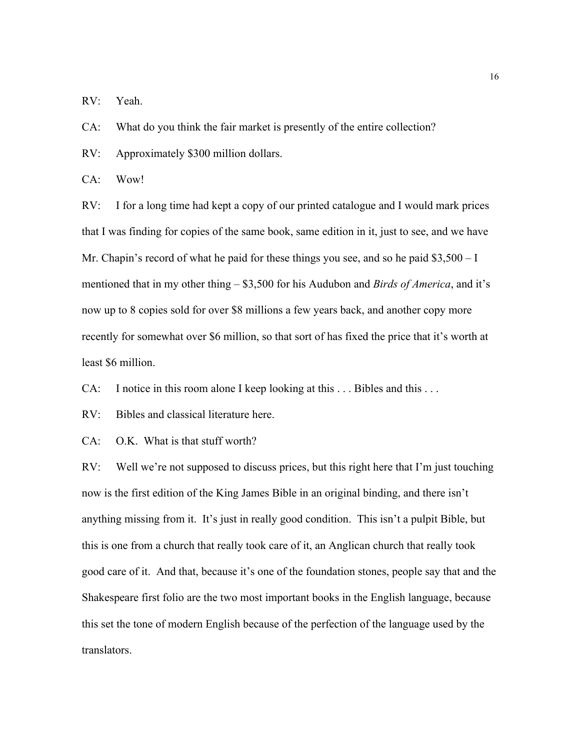RV: Yeah.

CA: What do you think the fair market is presently of the entire collection?

RV: Approximately \$300 million dollars.

CA: Wow!

RV: I for a long time had kept a copy of our printed catalogue and I would mark prices that I was finding for copies of the same book, same edition in it, just to see, and we have Mr. Chapin's record of what he paid for these things you see, and so he paid \$3,500 – I mentioned that in my other thing – \$3,500 for his Audubon and *Birds of America*, and it's now up to 8 copies sold for over \$8 millions a few years back, and another copy more recently for somewhat over \$6 million, so that sort of has fixed the price that it's worth at least \$6 million.

CA: I notice in this room alone I keep looking at this . . . Bibles and this . . .

RV: Bibles and classical literature here.

CA: O.K. What is that stuff worth?

RV: Well we're not supposed to discuss prices, but this right here that I'm just touching now is the first edition of the King James Bible in an original binding, and there isn't anything missing from it. It's just in really good condition. This isn't a pulpit Bible, but this is one from a church that really took care of it, an Anglican church that really took good care of it. And that, because it's one of the foundation stones, people say that and the Shakespeare first folio are the two most important books in the English language, because this set the tone of modern English because of the perfection of the language used by the translators.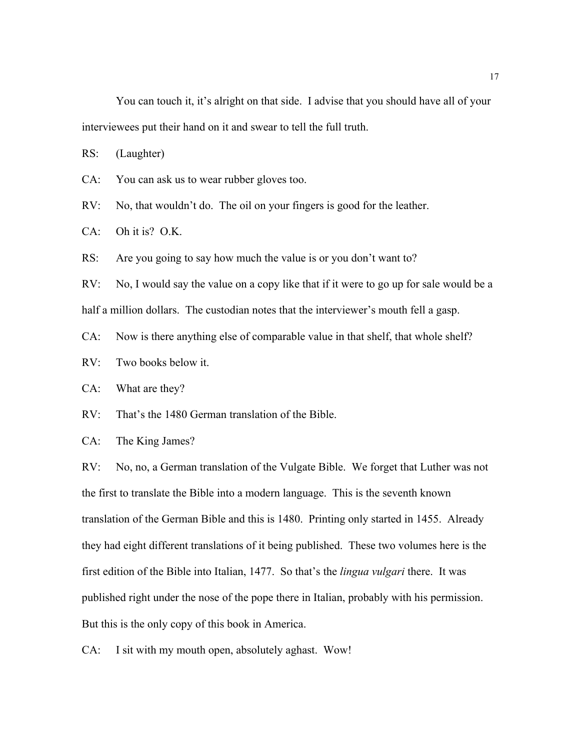You can touch it, it's alright on that side. I advise that you should have all of your interviewees put their hand on it and swear to tell the full truth.

RS: (Laughter)

CA: You can ask us to wear rubber gloves too.

RV: No, that wouldn't do. The oil on your fingers is good for the leather.

CA: Oh it is? O.K.

RS: Are you going to say how much the value is or you don't want to?

RV: No, I would say the value on a copy like that if it were to go up for sale would be a half a million dollars. The custodian notes that the interviewer's mouth fell a gasp.

CA: Now is there anything else of comparable value in that shelf, that whole shelf?

RV: Two books below it.

CA: What are they?

RV: That's the 1480 German translation of the Bible.

CA: The King James?

RV: No, no, a German translation of the Vulgate Bible. We forget that Luther was not the first to translate the Bible into a modern language. This is the seventh known translation of the German Bible and this is 1480. Printing only started in 1455. Already they had eight different translations of it being published. These two volumes here is the first edition of the Bible into Italian, 1477. So that's the *lingua vulgari* there. It was published right under the nose of the pope there in Italian, probably with his permission. But this is the only copy of this book in America.

CA: I sit with my mouth open, absolutely aghast. Wow!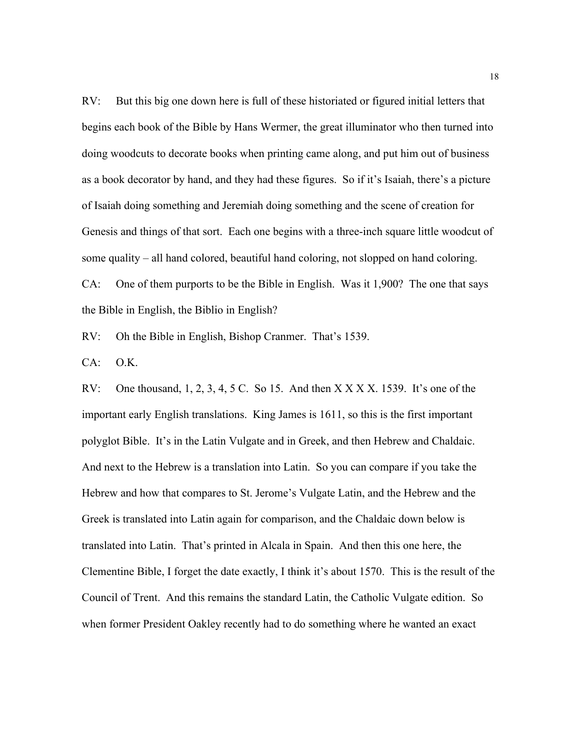RV: But this big one down here is full of these historiated or figured initial letters that begins each book of the Bible by Hans Wermer, the great illuminator who then turned into doing woodcuts to decorate books when printing came along, and put him out of business as a book decorator by hand, and they had these figures. So if it's Isaiah, there's a picture of Isaiah doing something and Jeremiah doing something and the scene of creation for Genesis and things of that sort. Each one begins with a three-inch square little woodcut of some quality – all hand colored, beautiful hand coloring, not slopped on hand coloring. CA: One of them purports to be the Bible in English. Was it 1,900? The one that says

the Bible in English, the Biblio in English?

RV: Oh the Bible in English, Bishop Cranmer. That's 1539.

CA: O.K.

RV: One thousand,  $1, 2, 3, 4, 5$  C. So 15. And then  $X$   $\overline{X}$   $\overline{X}$   $\overline{X}$ . And  $\overline{X}$   $\overline{X}$   $\overline{X}$ .  $\overline{X}$   $\overline{Y}$  are of the important early English translations. King James is 1611, so this is the first important polyglot Bible. It's in the Latin Vulgate and in Greek, and then Hebrew and Chaldaic. And next to the Hebrew is a translation into Latin. So you can compare if you take the Hebrew and how that compares to St. Jerome's Vulgate Latin, and the Hebrew and the Greek is translated into Latin again for comparison, and the Chaldaic down below is translated into Latin. That's printed in Alcala in Spain. And then this one here, the Clementine Bible, I forget the date exactly, I think it's about 1570. This is the result of the Council of Trent. And this remains the standard Latin, the Catholic Vulgate edition. So when former President Oakley recently had to do something where he wanted an exact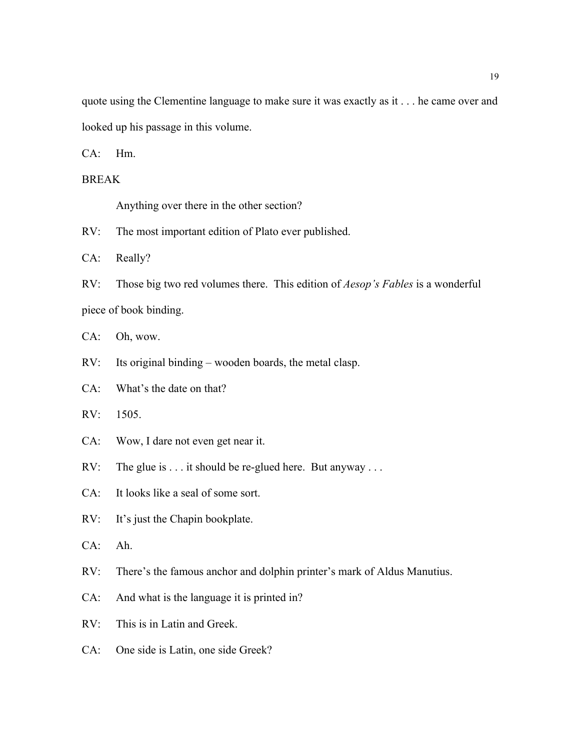quote using the Clementine language to make sure it was exactly as it . . . he came over and looked up his passage in this volume.

CA: Hm.

BREAK

Anything over there in the other section?

RV: The most important edition of Plato ever published.

CA: Really?

RV: Those big two red volumes there. This edition of *Aesop's Fables* is a wonderful piece of book binding.

CA: Oh, wow.

RV: Its original binding – wooden boards, the metal clasp.

CA: What's the date on that?

RV: 1505.

CA: Wow, I dare not even get near it.

RV: The glue is . . . it should be re-glued here. But anyway . . .

CA: It looks like a seal of some sort.

RV: It's just the Chapin bookplate.

CA: Ah.

RV: There's the famous anchor and dolphin printer's mark of Aldus Manutius.

CA: And what is the language it is printed in?

RV: This is in Latin and Greek.

CA: One side is Latin, one side Greek?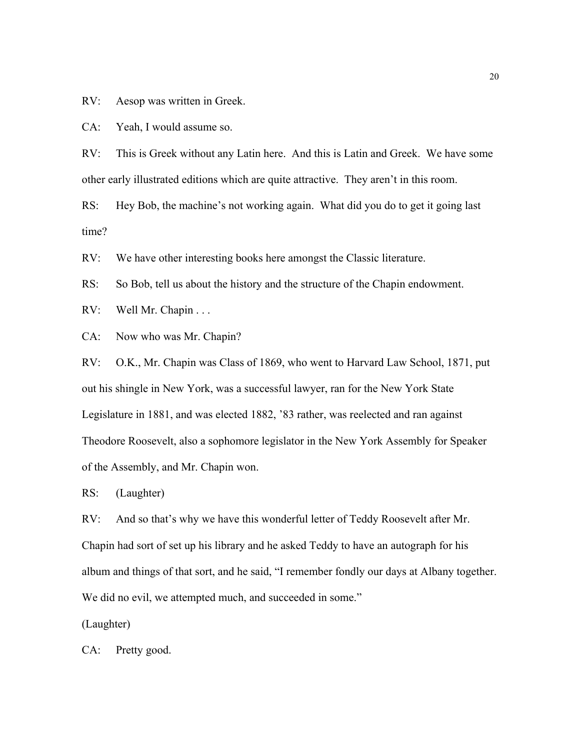RV: Aesop was written in Greek.

CA: Yeah, I would assume so.

RV: This is Greek without any Latin here. And this is Latin and Greek. We have some other early illustrated editions which are quite attractive. They aren't in this room.

RS: Hey Bob, the machine's not working again. What did you do to get it going last time?

RV: We have other interesting books here amongst the Classic literature.

RS: So Bob, tell us about the history and the structure of the Chapin endowment.

RV: Well Mr. Chapin . . .

CA: Now who was Mr. Chapin?

RV: O.K., Mr. Chapin was Class of 1869, who went to Harvard Law School, 1871, put out his shingle in New York, was a successful lawyer, ran for the New York State Legislature in 1881, and was elected 1882, '83 rather, was reelected and ran against Theodore Roosevelt, also a sophomore legislator in the New York Assembly for Speaker of the Assembly, and Mr. Chapin won.

RS: (Laughter)

RV: And so that's why we have this wonderful letter of Teddy Roosevelt after Mr. Chapin had sort of set up his library and he asked Teddy to have an autograph for his album and things of that sort, and he said, "I remember fondly our days at Albany together. We did no evil, we attempted much, and succeeded in some."

(Laughter)

CA: Pretty good.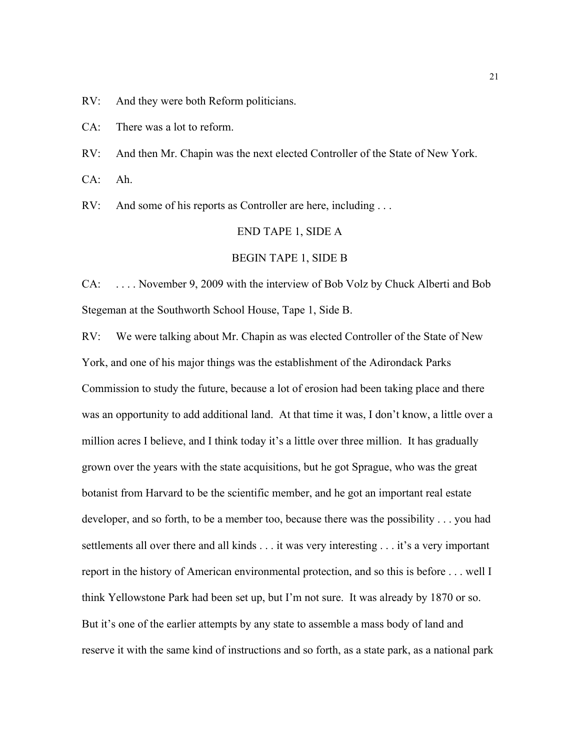RV: And they were both Reform politicians.

CA: There was a lot to reform.

RV: And then Mr. Chapin was the next elected Controller of the State of New York.

CA: Ah.

RV: And some of his reports as Controller are here, including ...

#### END TAPE 1, SIDE A

#### BEGIN TAPE 1, SIDE B

CA: . . . . November 9, 2009 with the interview of Bob Volz by Chuck Alberti and Bob Stegeman at the Southworth School House, Tape 1, Side B.

RV: We were talking about Mr. Chapin as was elected Controller of the State of New York, and one of his major things was the establishment of the Adirondack Parks Commission to study the future, because a lot of erosion had been taking place and there was an opportunity to add additional land. At that time it was, I don't know, a little over a million acres I believe, and I think today it's a little over three million. It has gradually grown over the years with the state acquisitions, but he got Sprague, who was the great botanist from Harvard to be the scientific member, and he got an important real estate developer, and so forth, to be a member too, because there was the possibility . . . you had settlements all over there and all kinds . . . it was very interesting . . . it's a very important report in the history of American environmental protection, and so this is before . . . well I think Yellowstone Park had been set up, but I'm not sure. It was already by 1870 or so. But it's one of the earlier attempts by any state to assemble a mass body of land and reserve it with the same kind of instructions and so forth, as a state park, as a national park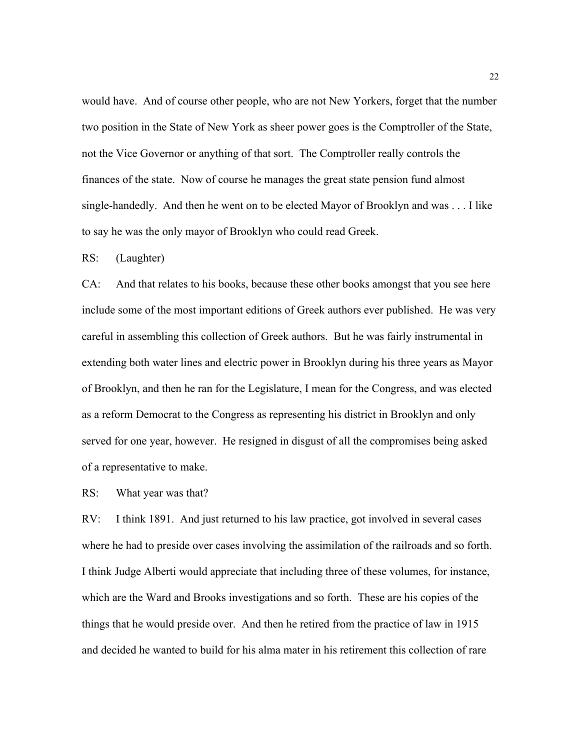would have. And of course other people, who are not New Yorkers, forget that the number two position in the State of New York as sheer power goes is the Comptroller of the State, not the Vice Governor or anything of that sort. The Comptroller really controls the finances of the state. Now of course he manages the great state pension fund almost single-handedly. And then he went on to be elected Mayor of Brooklyn and was . . . I like to say he was the only mayor of Brooklyn who could read Greek.

RS: (Laughter)

CA: And that relates to his books, because these other books amongst that you see here include some of the most important editions of Greek authors ever published. He was very careful in assembling this collection of Greek authors. But he was fairly instrumental in extending both water lines and electric power in Brooklyn during his three years as Mayor of Brooklyn, and then he ran for the Legislature, I mean for the Congress, and was elected as a reform Democrat to the Congress as representing his district in Brooklyn and only served for one year, however. He resigned in disgust of all the compromises being asked of a representative to make.

RS: What year was that?

RV: I think 1891. And just returned to his law practice, got involved in several cases where he had to preside over cases involving the assimilation of the railroads and so forth. I think Judge Alberti would appreciate that including three of these volumes, for instance, which are the Ward and Brooks investigations and so forth. These are his copies of the things that he would preside over. And then he retired from the practice of law in 1915 and decided he wanted to build for his alma mater in his retirement this collection of rare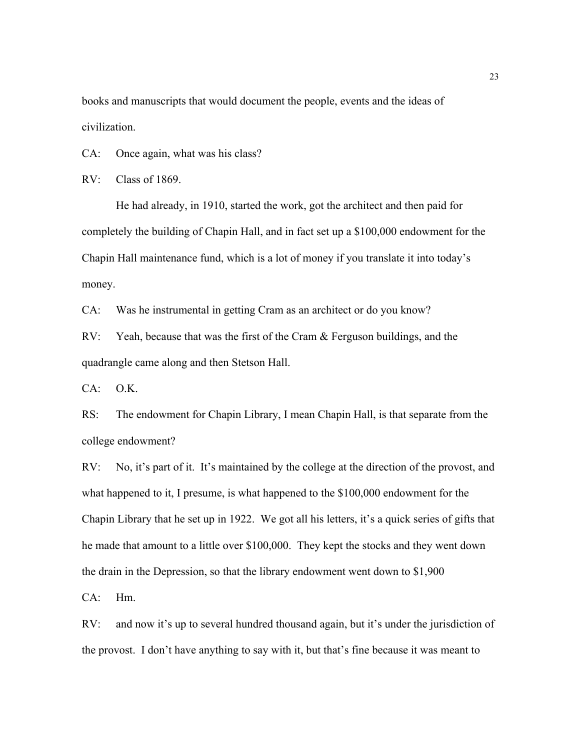books and manuscripts that would document the people, events and the ideas of civilization.

CA: Once again, what was his class?

RV: Class of 1869.

He had already, in 1910, started the work, got the architect and then paid for completely the building of Chapin Hall, and in fact set up a \$100,000 endowment for the Chapin Hall maintenance fund, which is a lot of money if you translate it into today's money.

CA: Was he instrumental in getting Cram as an architect or do you know?

RV: Yeah, because that was the first of the Cram & Ferguson buildings, and the quadrangle came along and then Stetson Hall.

 $CA: O.K.$ 

RS: The endowment for Chapin Library, I mean Chapin Hall, is that separate from the college endowment?

RV: No, it's part of it. It's maintained by the college at the direction of the provost, and what happened to it, I presume, is what happened to the \$100,000 endowment for the Chapin Library that he set up in 1922. We got all his letters, it's a quick series of gifts that he made that amount to a little over \$100,000. They kept the stocks and they went down the drain in the Depression, so that the library endowment went down to \$1,900

CA: Hm.

RV: and now it's up to several hundred thousand again, but it's under the jurisdiction of the provost. I don't have anything to say with it, but that's fine because it was meant to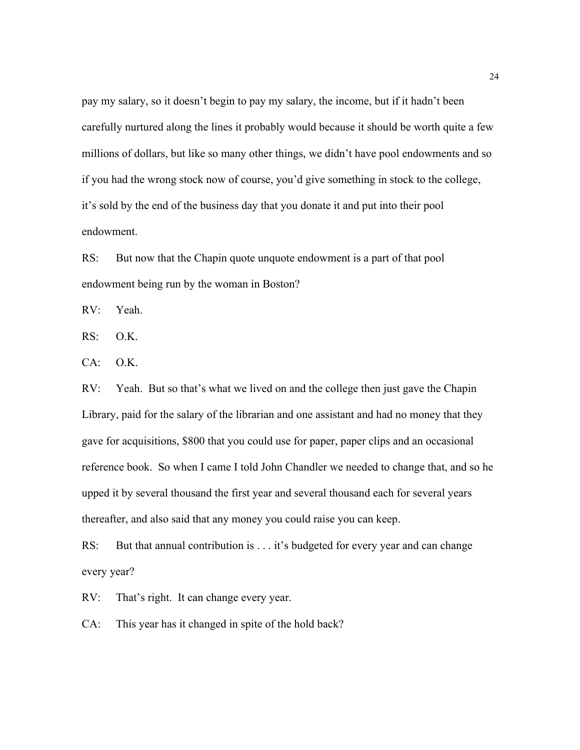pay my salary, so it doesn't begin to pay my salary, the income, but if it hadn't been carefully nurtured along the lines it probably would because it should be worth quite a few millions of dollars, but like so many other things, we didn't have pool endowments and so if you had the wrong stock now of course, you'd give something in stock to the college, it's sold by the end of the business day that you donate it and put into their pool endowment.

RS: But now that the Chapin quote unquote endowment is a part of that pool endowment being run by the woman in Boston?

RV: Yeah.

RS: O.K.

CA: O.K.

RV: Yeah. But so that's what we lived on and the college then just gave the Chapin Library, paid for the salary of the librarian and one assistant and had no money that they gave for acquisitions, \$800 that you could use for paper, paper clips and an occasional reference book. So when I came I told John Chandler we needed to change that, and so he upped it by several thousand the first year and several thousand each for several years thereafter, and also said that any money you could raise you can keep.

RS: But that annual contribution is . . . it's budgeted for every year and can change every year?

RV: That's right. It can change every year.

CA: This year has it changed in spite of the hold back?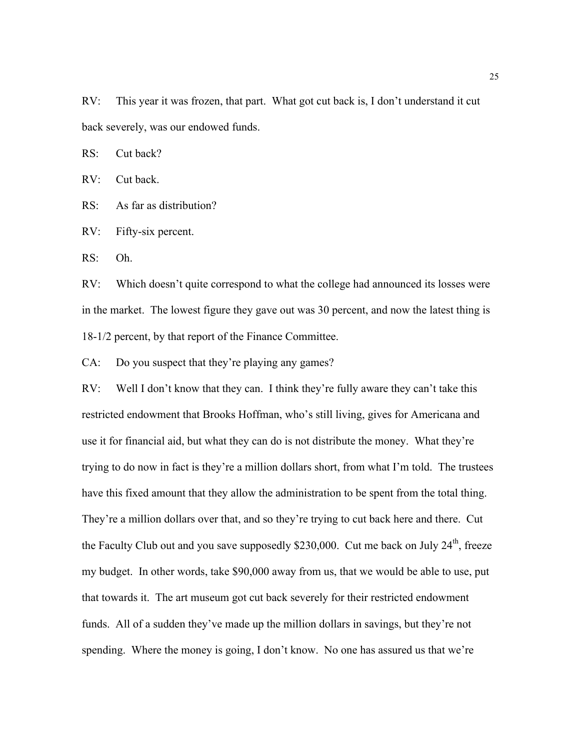RV: This year it was frozen, that part. What got cut back is, I don't understand it cut back severely, was our endowed funds.

RS: Cut back?

RV: Cut back.

RS: As far as distribution?

RV: Fifty-six percent.

RS: Oh.

RV: Which doesn't quite correspond to what the college had announced its losses were in the market. The lowest figure they gave out was 30 percent, and now the latest thing is 18-1/2 percent, by that report of the Finance Committee.

CA: Do you suspect that they're playing any games?

RV: Well I don't know that they can. I think they're fully aware they can't take this restricted endowment that Brooks Hoffman, who's still living, gives for Americana and use it for financial aid, but what they can do is not distribute the money. What they're trying to do now in fact is they're a million dollars short, from what I'm told. The trustees have this fixed amount that they allow the administration to be spent from the total thing. They're a million dollars over that, and so they're trying to cut back here and there. Cut the Faculty Club out and you save supposedly \$230,000. Cut me back on July  $24<sup>th</sup>$ , freeze my budget. In other words, take \$90,000 away from us, that we would be able to use, put that towards it. The art museum got cut back severely for their restricted endowment funds. All of a sudden they've made up the million dollars in savings, but they're not spending. Where the money is going, I don't know. No one has assured us that we're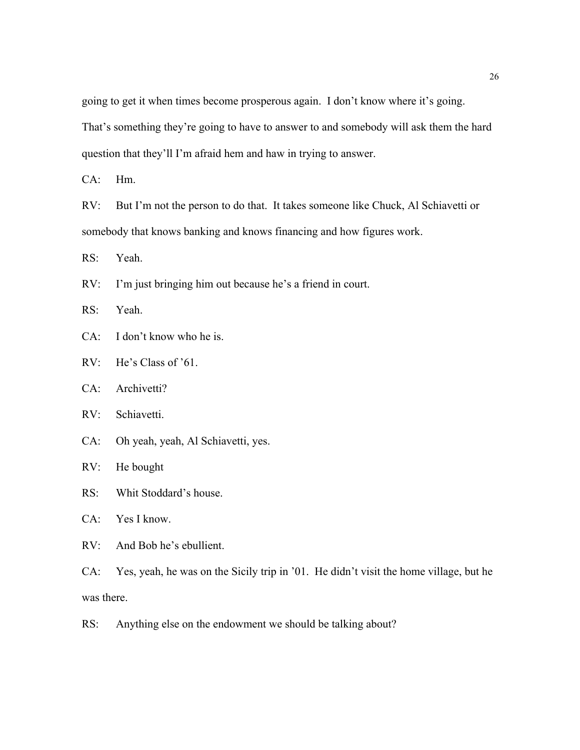going to get it when times become prosperous again. I don't know where it's going. That's something they're going to have to answer to and somebody will ask them the hard question that they'll I'm afraid hem and haw in trying to answer.

CA: Hm.

RV: But I'm not the person to do that. It takes someone like Chuck, Al Schiavetti or somebody that knows banking and knows financing and how figures work.

RS: Yeah.

RV: I'm just bringing him out because he's a friend in court.

RS: Yeah.

CA: I don't know who he is.

RV: He's Class of '61.

CA: Archivetti?

RV: Schiavetti.

CA: Oh yeah, yeah, Al Schiavetti, yes.

RV: He bought

RS: Whit Stoddard's house.

CA: Yes I know.

RV: And Bob he's ebullient.

CA: Yes, yeah, he was on the Sicily trip in '01. He didn't visit the home village, but he was there.

RS: Anything else on the endowment we should be talking about?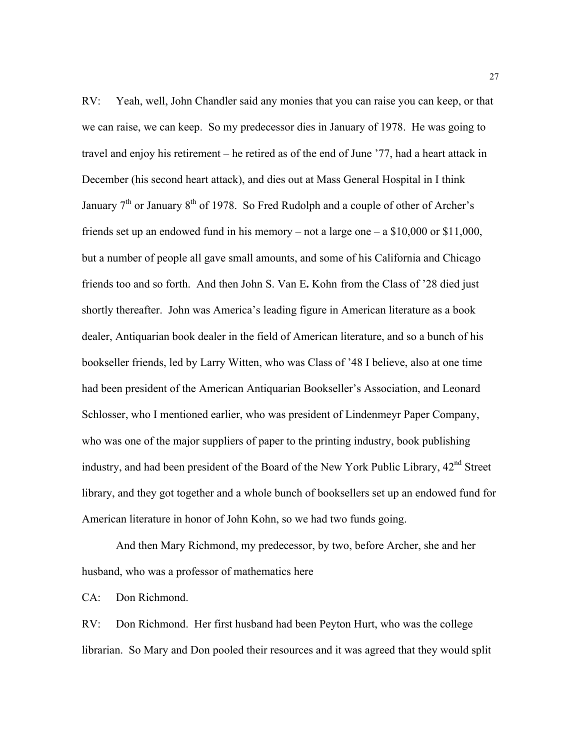RV: Yeah, well, John Chandler said any monies that you can raise you can keep, or that we can raise, we can keep. So my predecessor dies in January of 1978. He was going to travel and enjoy his retirement – he retired as of the end of June '77, had a heart attack in December (his second heart attack), and dies out at Mass General Hospital in I think January  $7<sup>th</sup>$  or January  $8<sup>th</sup>$  of 1978. So Fred Rudolph and a couple of other of Archer's friends set up an endowed fund in his memory – not a large one – a \$10,000 or \$11,000, but a number of people all gave small amounts, and some of his California and Chicago friends too and so forth. And then John S. Van E**.** Kohn from the Class of '28 died just shortly thereafter. John was America's leading figure in American literature as a book dealer, Antiquarian book dealer in the field of American literature, and so a bunch of his bookseller friends, led by Larry Witten, who was Class of '48 I believe, also at one time had been president of the American Antiquarian Bookseller's Association, and Leonard Schlosser, who I mentioned earlier, who was president of Lindenmeyr Paper Company, who was one of the major suppliers of paper to the printing industry, book publishing industry, and had been president of the Board of the New York Public Library, 42<sup>nd</sup> Street library, and they got together and a whole bunch of booksellers set up an endowed fund for American literature in honor of John Kohn, so we had two funds going.

And then Mary Richmond, my predecessor, by two, before Archer, she and her husband, who was a professor of mathematics here

CA: Don Richmond.

RV: Don Richmond. Her first husband had been Peyton Hurt, who was the college librarian. So Mary and Don pooled their resources and it was agreed that they would split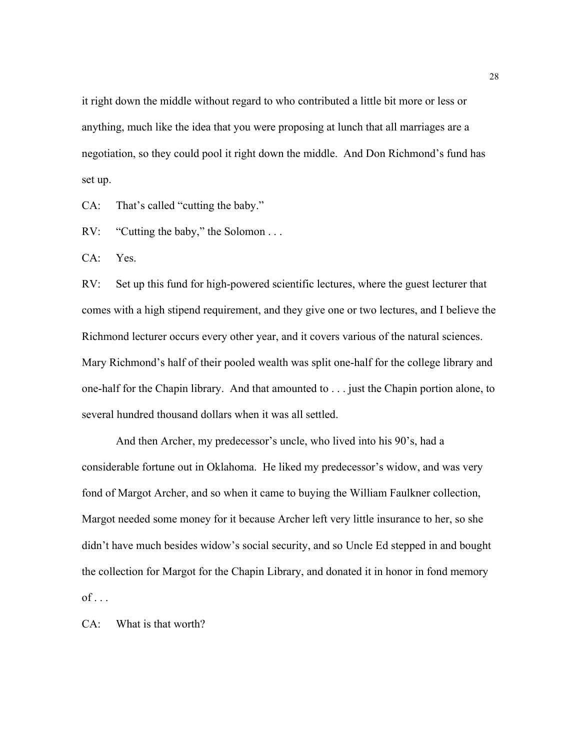it right down the middle without regard to who contributed a little bit more or less or anything, much like the idea that you were proposing at lunch that all marriages are a negotiation, so they could pool it right down the middle. And Don Richmond's fund has set up.

CA: That's called "cutting the baby."

RV: "Cutting the baby," the Solomon . . .

CA: Yes.

RV: Set up this fund for high-powered scientific lectures, where the guest lecturer that comes with a high stipend requirement, and they give one or two lectures, and I believe the Richmond lecturer occurs every other year, and it covers various of the natural sciences. Mary Richmond's half of their pooled wealth was split one-half for the college library and one-half for the Chapin library. And that amounted to . . . just the Chapin portion alone, to several hundred thousand dollars when it was all settled.

And then Archer, my predecessor's uncle, who lived into his 90's, had a considerable fortune out in Oklahoma. He liked my predecessor's widow, and was very fond of Margot Archer, and so when it came to buying the William Faulkner collection, Margot needed some money for it because Archer left very little insurance to her, so she didn't have much besides widow's social security, and so Uncle Ed stepped in and bought the collection for Margot for the Chapin Library, and donated it in honor in fond memory  $of \dots$ 

CA: What is that worth?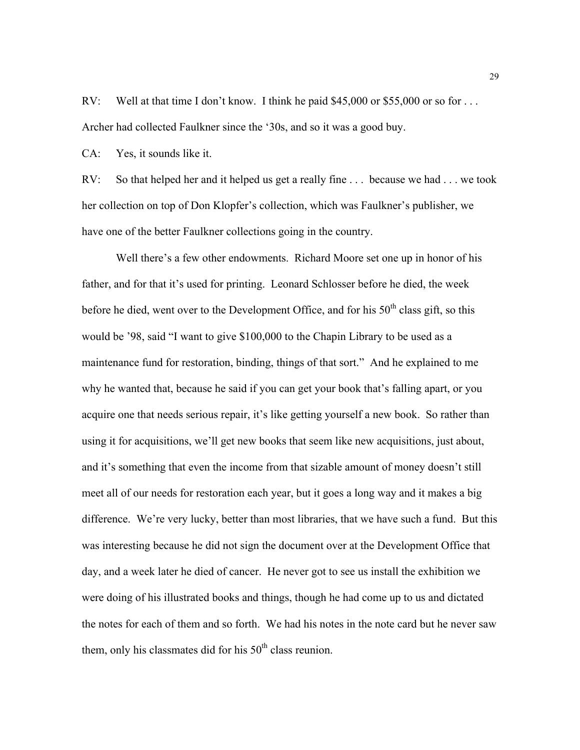RV: Well at that time I don't know. I think he paid \$45,000 or \$55,000 or so for ... Archer had collected Faulkner since the '30s, and so it was a good buy.

CA: Yes, it sounds like it.

RV: So that helped her and it helped us get a really fine . . . because we had . . . we took her collection on top of Don Klopfer's collection, which was Faulkner's publisher, we have one of the better Faulkner collections going in the country.

Well there's a few other endowments. Richard Moore set one up in honor of his father, and for that it's used for printing. Leonard Schlosser before he died, the week before he died, went over to the Development Office, and for his  $50<sup>th</sup>$  class gift, so this would be '98, said "I want to give \$100,000 to the Chapin Library to be used as a maintenance fund for restoration, binding, things of that sort." And he explained to me why he wanted that, because he said if you can get your book that's falling apart, or you acquire one that needs serious repair, it's like getting yourself a new book. So rather than using it for acquisitions, we'll get new books that seem like new acquisitions, just about, and it's something that even the income from that sizable amount of money doesn't still meet all of our needs for restoration each year, but it goes a long way and it makes a big difference. We're very lucky, better than most libraries, that we have such a fund. But this was interesting because he did not sign the document over at the Development Office that day, and a week later he died of cancer. He never got to see us install the exhibition we were doing of his illustrated books and things, though he had come up to us and dictated the notes for each of them and so forth. We had his notes in the note card but he never saw them, only his classmates did for his  $50<sup>th</sup>$  class reunion.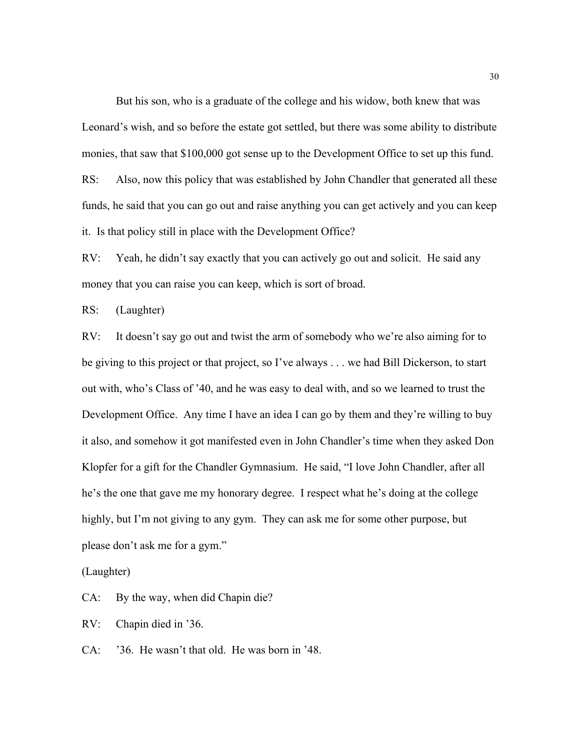But his son, who is a graduate of the college and his widow, both knew that was Leonard's wish, and so before the estate got settled, but there was some ability to distribute monies, that saw that \$100,000 got sense up to the Development Office to set up this fund. RS: Also, now this policy that was established by John Chandler that generated all these funds, he said that you can go out and raise anything you can get actively and you can keep it. Is that policy still in place with the Development Office?

RV: Yeah, he didn't say exactly that you can actively go out and solicit. He said any money that you can raise you can keep, which is sort of broad.

RS: (Laughter)

RV: It doesn't say go out and twist the arm of somebody who we're also aiming for to be giving to this project or that project, so I've always . . . we had Bill Dickerson, to start out with, who's Class of '40, and he was easy to deal with, and so we learned to trust the Development Office. Any time I have an idea I can go by them and they're willing to buy it also, and somehow it got manifested even in John Chandler's time when they asked Don Klopfer for a gift for the Chandler Gymnasium. He said, "I love John Chandler, after all he's the one that gave me my honorary degree. I respect what he's doing at the college highly, but I'm not giving to any gym. They can ask me for some other purpose, but please don't ask me for a gym."

(Laughter)

CA: By the way, when did Chapin die?

RV: Chapin died in '36.

CA: '36. He wasn't that old. He was born in '48.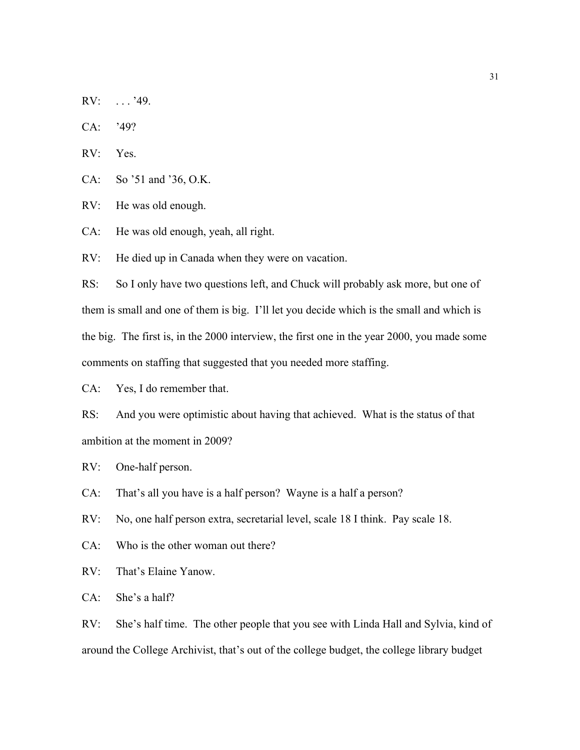RV: . . . '49.

CA: '49?

RV: Yes.

CA: So '51 and '36, O.K.

RV: He was old enough.

CA: He was old enough, yeah, all right.

RV: He died up in Canada when they were on vacation.

RS: So I only have two questions left, and Chuck will probably ask more, but one of them is small and one of them is big. I'll let you decide which is the small and which is the big. The first is, in the 2000 interview, the first one in the year 2000, you made some comments on staffing that suggested that you needed more staffing.

CA: Yes, I do remember that.

RS: And you were optimistic about having that achieved. What is the status of that ambition at the moment in 2009?

RV: One-half person.

CA: That's all you have is a half person? Wayne is a half a person?

RV: No, one half person extra, secretarial level, scale 18 I think. Pay scale 18.

CA: Who is the other woman out there?

RV: That's Elaine Yanow.

CA: She's a half?

RV: She's half time. The other people that you see with Linda Hall and Sylvia, kind of around the College Archivist, that's out of the college budget, the college library budget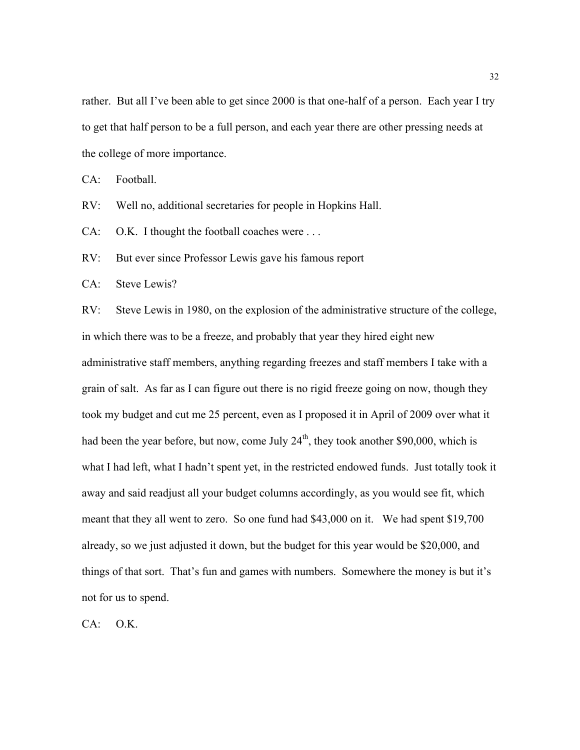rather. But all I've been able to get since 2000 is that one-half of a person. Each year I try to get that half person to be a full person, and each year there are other pressing needs at the college of more importance.

CA: Football.

RV: Well no, additional secretaries for people in Hopkins Hall.

CA: O.K. I thought the football coaches were . . .

RV: But ever since Professor Lewis gave his famous report

CA: Steve Lewis?

RV: Steve Lewis in 1980, on the explosion of the administrative structure of the college, in which there was to be a freeze, and probably that year they hired eight new administrative staff members, anything regarding freezes and staff members I take with a grain of salt. As far as I can figure out there is no rigid freeze going on now, though they took my budget and cut me 25 percent, even as I proposed it in April of 2009 over what it had been the year before, but now, come July  $24<sup>th</sup>$ , they took another \$90,000, which is what I had left, what I hadn't spent yet, in the restricted endowed funds. Just totally took it away and said readjust all your budget columns accordingly, as you would see fit, which meant that they all went to zero. So one fund had \$43,000 on it. We had spent \$19,700 already, so we just adjusted it down, but the budget for this year would be \$20,000, and things of that sort. That's fun and games with numbers. Somewhere the money is but it's not for us to spend.

CA: O.K.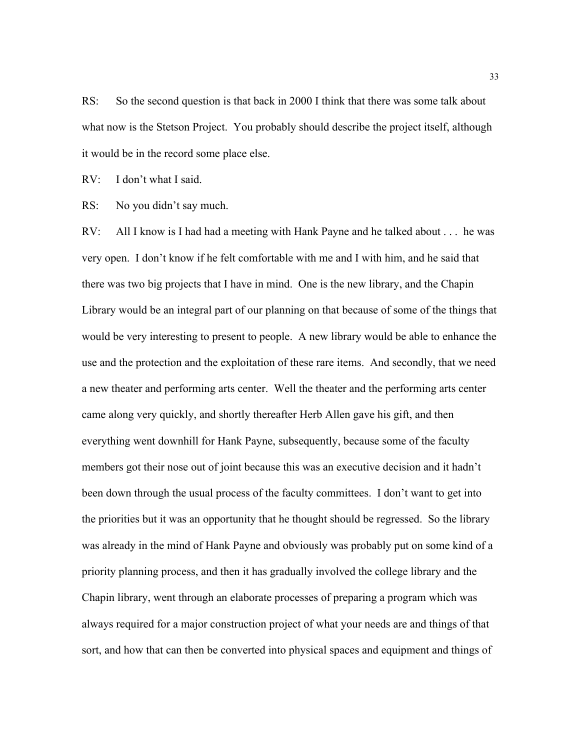RS: So the second question is that back in 2000 I think that there was some talk about what now is the Stetson Project. You probably should describe the project itself, although it would be in the record some place else.

RV: I don't what I said.

RS: No you didn't say much.

RV: All I know is I had had a meeting with Hank Payne and he talked about . . . he was very open. I don't know if he felt comfortable with me and I with him, and he said that there was two big projects that I have in mind. One is the new library, and the Chapin Library would be an integral part of our planning on that because of some of the things that would be very interesting to present to people. A new library would be able to enhance the use and the protection and the exploitation of these rare items. And secondly, that we need a new theater and performing arts center. Well the theater and the performing arts center came along very quickly, and shortly thereafter Herb Allen gave his gift, and then everything went downhill for Hank Payne, subsequently, because some of the faculty members got their nose out of joint because this was an executive decision and it hadn't been down through the usual process of the faculty committees. I don't want to get into the priorities but it was an opportunity that he thought should be regressed. So the library was already in the mind of Hank Payne and obviously was probably put on some kind of a priority planning process, and then it has gradually involved the college library and the Chapin library, went through an elaborate processes of preparing a program which was always required for a major construction project of what your needs are and things of that sort, and how that can then be converted into physical spaces and equipment and things of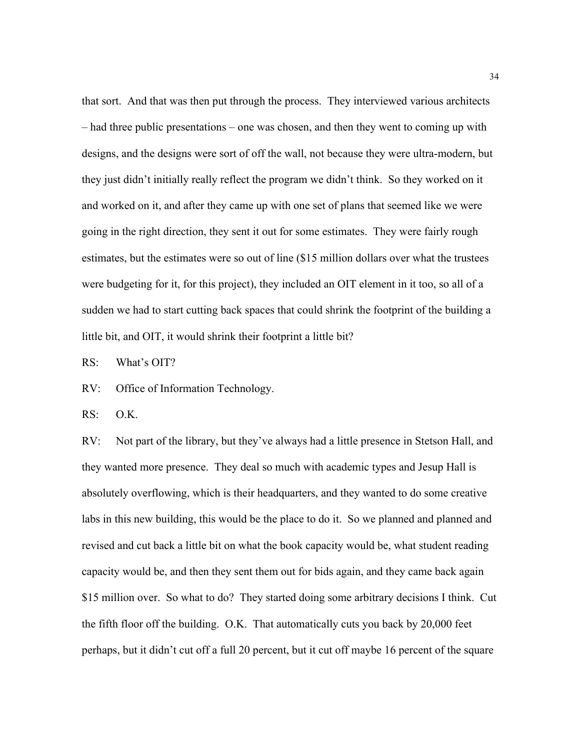that sort. And that was then put through the process. They interviewed various architects – had three public presentations – one was chosen, and then they went to coming up with designs, and the designs were sort of off the wall, not because they were ultra-modern, but they just didn't initially really reflect the program we didn't think. So they worked on it and worked on it, and after they came up with one set of plans that seemed like we were going in the right direction, they sent it out for some estimates. They were fairly rough estimates, but the estimates were so out of line (\$15 million dollars over what the trustees were budgeting for it, for this project), they included an OIT element in it too, so all of a sudden we had to start cutting back spaces that could shrink the footprint of the building a little bit, and OIT, it would shrink their footprint a little bit?

RS: What's OIT?

RV: Office of Information Technology.

RS: O.K.

RV: Not part of the library, but they've always had a little presence in Stetson Hall, and they wanted more presence. They deal so much with academic types and Jesup Hall is absolutely overflowing, which is their headquarters, and they wanted to do some creative labs in this new building, this would be the place to do it. So we planned and planned and revised and cut back a little bit on what the book capacity would be, what student reading capacity would be, and then they sent them out for bids again, and they came back again \$15 million over. So what to do? They started doing some arbitrary decisions I think. Cut the fifth floor off the building. O.K. That automatically cuts you back by 20,000 feet perhaps, but it didn't cut off a full 20 percent, but it cut off maybe 16 percent of the square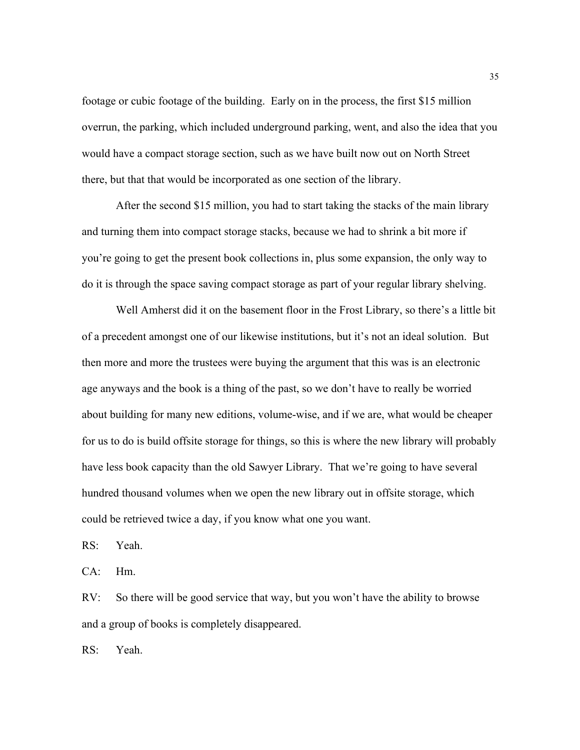footage or cubic footage of the building. Early on in the process, the first \$15 million overrun, the parking, which included underground parking, went, and also the idea that you would have a compact storage section, such as we have built now out on North Street there, but that that would be incorporated as one section of the library.

After the second \$15 million, you had to start taking the stacks of the main library and turning them into compact storage stacks, because we had to shrink a bit more if you're going to get the present book collections in, plus some expansion, the only way to do it is through the space saving compact storage as part of your regular library shelving.

Well Amherst did it on the basement floor in the Frost Library, so there's a little bit of a precedent amongst one of our likewise institutions, but it's not an ideal solution. But then more and more the trustees were buying the argument that this was is an electronic age anyways and the book is a thing of the past, so we don't have to really be worried about building for many new editions, volume-wise, and if we are, what would be cheaper for us to do is build offsite storage for things, so this is where the new library will probably have less book capacity than the old Sawyer Library. That we're going to have several hundred thousand volumes when we open the new library out in offsite storage, which could be retrieved twice a day, if you know what one you want.

RS: Yeah.

CA: Hm.

RV: So there will be good service that way, but you won't have the ability to browse and a group of books is completely disappeared.

RS: Yeah.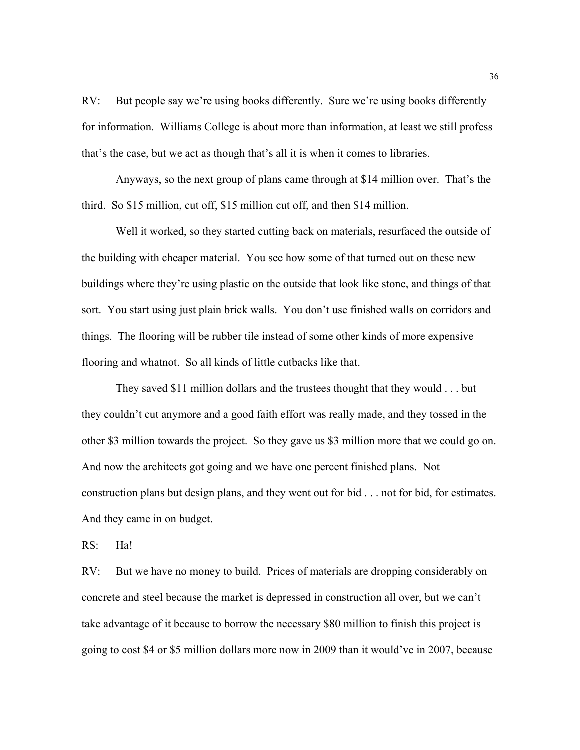RV: But people say we're using books differently. Sure we're using books differently for information. Williams College is about more than information, at least we still profess that's the case, but we act as though that's all it is when it comes to libraries.

Anyways, so the next group of plans came through at \$14 million over. That's the third. So \$15 million, cut off, \$15 million cut off, and then \$14 million.

Well it worked, so they started cutting back on materials, resurfaced the outside of the building with cheaper material. You see how some of that turned out on these new buildings where they're using plastic on the outside that look like stone, and things of that sort. You start using just plain brick walls. You don't use finished walls on corridors and things. The flooring will be rubber tile instead of some other kinds of more expensive flooring and whatnot. So all kinds of little cutbacks like that.

They saved \$11 million dollars and the trustees thought that they would . . . but they couldn't cut anymore and a good faith effort was really made, and they tossed in the other \$3 million towards the project. So they gave us \$3 million more that we could go on. And now the architects got going and we have one percent finished plans. Not construction plans but design plans, and they went out for bid . . . not for bid, for estimates. And they came in on budget.

RS: Ha!

RV: But we have no money to build. Prices of materials are dropping considerably on concrete and steel because the market is depressed in construction all over, but we can't take advantage of it because to borrow the necessary \$80 million to finish this project is going to cost \$4 or \$5 million dollars more now in 2009 than it would've in 2007, because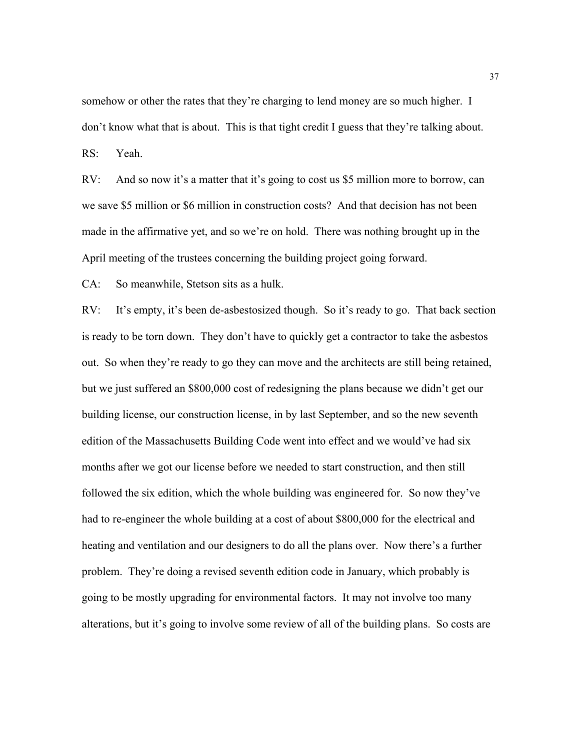somehow or other the rates that they're charging to lend money are so much higher. I don't know what that is about. This is that tight credit I guess that they're talking about.

RS: Yeah.

RV: And so now it's a matter that it's going to cost us \$5 million more to borrow, can we save \$5 million or \$6 million in construction costs? And that decision has not been made in the affirmative yet, and so we're on hold. There was nothing brought up in the April meeting of the trustees concerning the building project going forward.

CA: So meanwhile, Stetson sits as a hulk.

RV: It's empty, it's been de-asbestosized though. So it's ready to go. That back section is ready to be torn down. They don't have to quickly get a contractor to take the asbestos out. So when they're ready to go they can move and the architects are still being retained, but we just suffered an \$800,000 cost of redesigning the plans because we didn't get our building license, our construction license, in by last September, and so the new seventh edition of the Massachusetts Building Code went into effect and we would've had six months after we got our license before we needed to start construction, and then still followed the six edition, which the whole building was engineered for. So now they've had to re-engineer the whole building at a cost of about \$800,000 for the electrical and heating and ventilation and our designers to do all the plans over. Now there's a further problem. They're doing a revised seventh edition code in January, which probably is going to be mostly upgrading for environmental factors. It may not involve too many alterations, but it's going to involve some review of all of the building plans. So costs are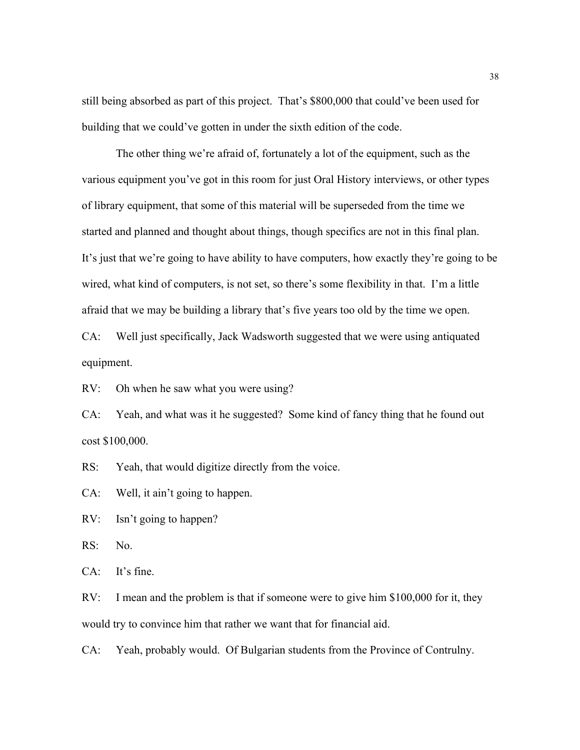still being absorbed as part of this project. That's \$800,000 that could've been used for building that we could've gotten in under the sixth edition of the code.

The other thing we're afraid of, fortunately a lot of the equipment, such as the various equipment you've got in this room for just Oral History interviews, or other types of library equipment, that some of this material will be superseded from the time we started and planned and thought about things, though specifics are not in this final plan. It's just that we're going to have ability to have computers, how exactly they're going to be wired, what kind of computers, is not set, so there's some flexibility in that. I'm a little afraid that we may be building a library that's five years too old by the time we open.

CA: Well just specifically, Jack Wadsworth suggested that we were using antiquated equipment.

RV: Oh when he saw what you were using?

CA: Yeah, and what was it he suggested? Some kind of fancy thing that he found out cost \$100,000.

RS: Yeah, that would digitize directly from the voice.

CA: Well, it ain't going to happen.

RV: Isn't going to happen?

RS: No.

CA: It's fine.

RV: I mean and the problem is that if someone were to give him \$100,000 for it, they would try to convince him that rather we want that for financial aid.

CA: Yeah, probably would. Of Bulgarian students from the Province of Contrulny.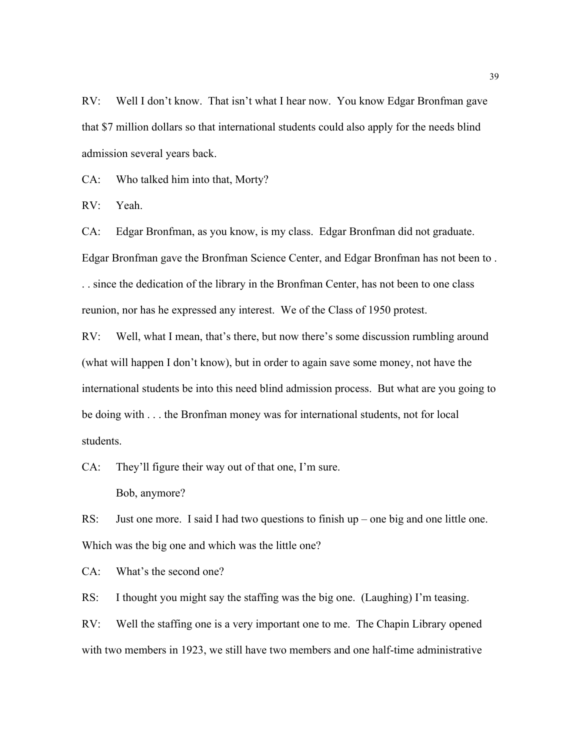RV: Well I don't know. That isn't what I hear now. You know Edgar Bronfman gave that \$7 million dollars so that international students could also apply for the needs blind admission several years back.

CA: Who talked him into that, Morty?

RV: Yeah.

CA: Edgar Bronfman, as you know, is my class. Edgar Bronfman did not graduate. Edgar Bronfman gave the Bronfman Science Center, and Edgar Bronfman has not been to . . . since the dedication of the library in the Bronfman Center, has not been to one class reunion, nor has he expressed any interest. We of the Class of 1950 protest.

RV: Well, what I mean, that's there, but now there's some discussion rumbling around (what will happen I don't know), but in order to again save some money, not have the international students be into this need blind admission process. But what are you going to be doing with . . . the Bronfman money was for international students, not for local students.

CA: They'll figure their way out of that one, I'm sure.

Bob, anymore?

RS: Just one more. I said I had two questions to finish up – one big and one little one. Which was the big one and which was the little one?

CA: What's the second one?

RS: I thought you might say the staffing was the big one. (Laughing) I'm teasing.

RV: Well the staffing one is a very important one to me. The Chapin Library opened with two members in 1923, we still have two members and one half-time administrative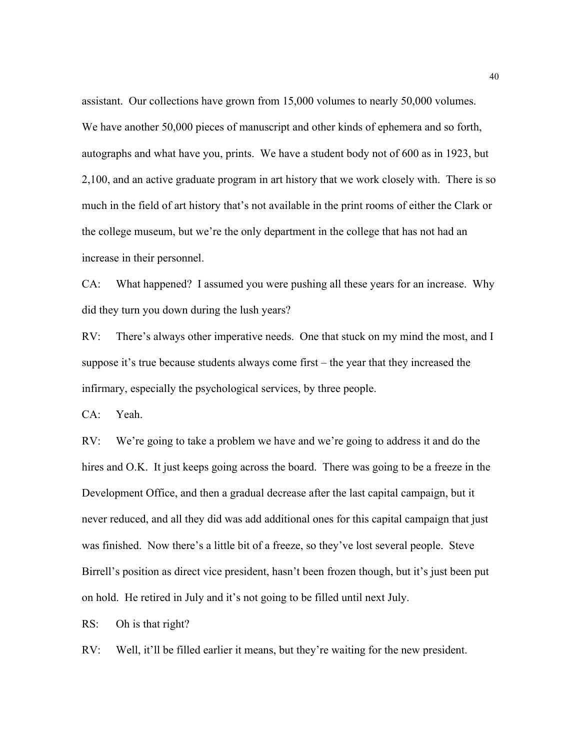assistant. Our collections have grown from 15,000 volumes to nearly 50,000 volumes. We have another 50,000 pieces of manuscript and other kinds of ephemera and so forth, autographs and what have you, prints. We have a student body not of 600 as in 1923, but 2,100, and an active graduate program in art history that we work closely with. There is so much in the field of art history that's not available in the print rooms of either the Clark or the college museum, but we're the only department in the college that has not had an increase in their personnel.

CA: What happened? I assumed you were pushing all these years for an increase. Why did they turn you down during the lush years?

RV: There's always other imperative needs. One that stuck on my mind the most, and I suppose it's true because students always come first – the year that they increased the infirmary, especially the psychological services, by three people.

CA: Yeah.

RV: We're going to take a problem we have and we're going to address it and do the hires and O.K. It just keeps going across the board. There was going to be a freeze in the Development Office, and then a gradual decrease after the last capital campaign, but it never reduced, and all they did was add additional ones for this capital campaign that just was finished. Now there's a little bit of a freeze, so they've lost several people. Steve Birrell's position as direct vice president, hasn't been frozen though, but it's just been put on hold. He retired in July and it's not going to be filled until next July.

RS: Oh is that right?

RV: Well, it'll be filled earlier it means, but they're waiting for the new president.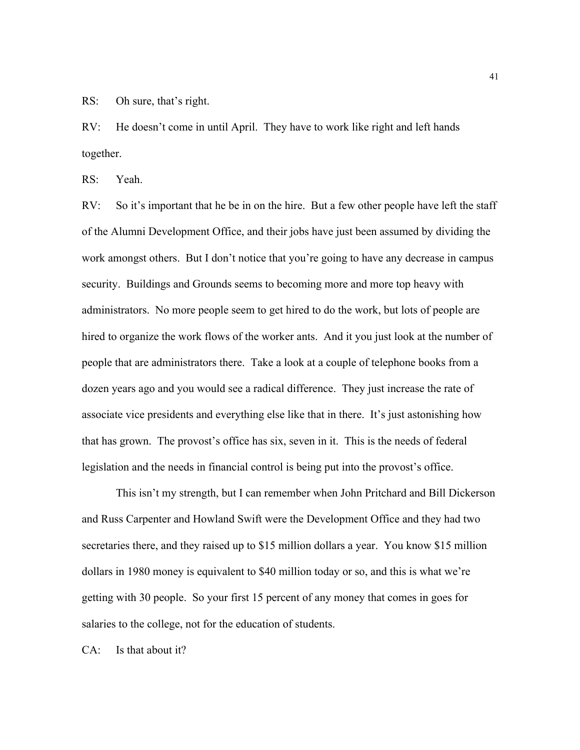RS: Oh sure, that's right.

RV: He doesn't come in until April. They have to work like right and left hands together.

RS: Yeah.

RV: So it's important that he be in on the hire. But a few other people have left the staff of the Alumni Development Office, and their jobs have just been assumed by dividing the work amongst others. But I don't notice that you're going to have any decrease in campus security. Buildings and Grounds seems to becoming more and more top heavy with administrators. No more people seem to get hired to do the work, but lots of people are hired to organize the work flows of the worker ants. And it you just look at the number of people that are administrators there. Take a look at a couple of telephone books from a dozen years ago and you would see a radical difference. They just increase the rate of associate vice presidents and everything else like that in there. It's just astonishing how that has grown. The provost's office has six, seven in it. This is the needs of federal legislation and the needs in financial control is being put into the provost's office.

This isn't my strength, but I can remember when John Pritchard and Bill Dickerson and Russ Carpenter and Howland Swift were the Development Office and they had two secretaries there, and they raised up to \$15 million dollars a year. You know \$15 million dollars in 1980 money is equivalent to \$40 million today or so, and this is what we're getting with 30 people. So your first 15 percent of any money that comes in goes for salaries to the college, not for the education of students.

CA: Is that about it?